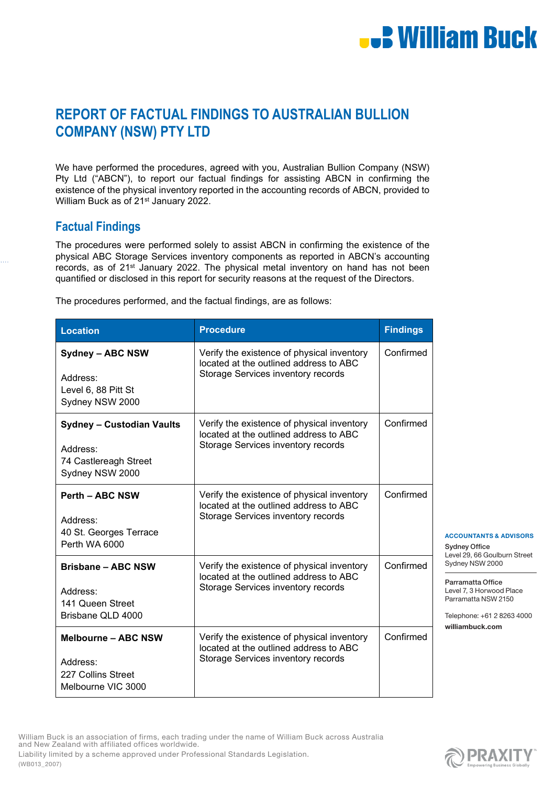# **U.S. William Buck**

### **REPORT OF FACTUAL FINDINGS TO AUSTRALIAN BULLION COMPANY (NSW) PTY LTD**

We have performed the procedures, agreed with you, Australian Bullion Company (NSW) Pty Ltd ("ABCN"), to report our factual findings for assisting ABCN in confirming the existence of the physical inventory reported in the accounting records of ABCN, provided to William Buck as of 21<sup>st</sup> January 2022.

### **Factual Findings**

The procedures were performed solely to assist ABCN in confirming the existence of the physical ABC Storage Services inventory components as reported in ABCN's accounting records, as of 21<sup>st</sup> January 2022. The physical metal inventory on hand has not been quantified or disclosed in this report for security reasons at the request of the Directors.

The procedures performed, and the factual findings, are as follows:

| <b>Location</b>                                                                          | <b>Procedure</b>                                                                                                           | <b>Findings</b> |
|------------------------------------------------------------------------------------------|----------------------------------------------------------------------------------------------------------------------------|-----------------|
| <b>Sydney - ABC NSW</b><br>Address:<br>Level 6, 88 Pitt St<br>Sydney NSW 2000            | Verify the existence of physical inventory<br>located at the outlined address to ABC<br>Storage Services inventory records | Confirmed       |
| <b>Sydney - Custodian Vaults</b><br>Address:<br>74 Castlereagh Street<br>Sydney NSW 2000 | Verify the existence of physical inventory<br>located at the outlined address to ABC<br>Storage Services inventory records | Confirmed       |
| <b>Perth - ABC NSW</b><br>Address:<br>40 St. Georges Terrace<br>Perth WA 6000            | Verify the existence of physical inventory<br>located at the outlined address to ABC<br>Storage Services inventory records | Confirmed       |
| <b>Brisbane - ABC NSW</b><br>Address:<br>141 Queen Street<br>Brisbane QLD 4000           | Verify the existence of physical inventory<br>located at the outlined address to ABC<br>Storage Services inventory records | Confirmed       |
| <b>Melbourne - ABC NSW</b><br>Address:<br>227 Collins Street<br>Melbourne VIC 3000       | Verify the existence of physical inventory<br>located at the outlined address to ABC<br>Storage Services inventory records | Confirmed       |

ACCOUNTANTS & ADVISORS

Sydney Office Level 29, 66 Goulburn Street Sydney NSW 2000

Parramatta Office Level 7, 3 Horwood Place Parramatta NSW 2150

Telephone: +61 2 8263 4000 williambuck.com

William Buck is an association of firms, each trading under the name of William Buck across Australia and New Zealand with affiliated offices worldwide. Liability limited by a scheme approved under Professional Standards Legislation. (WB013\_2007)